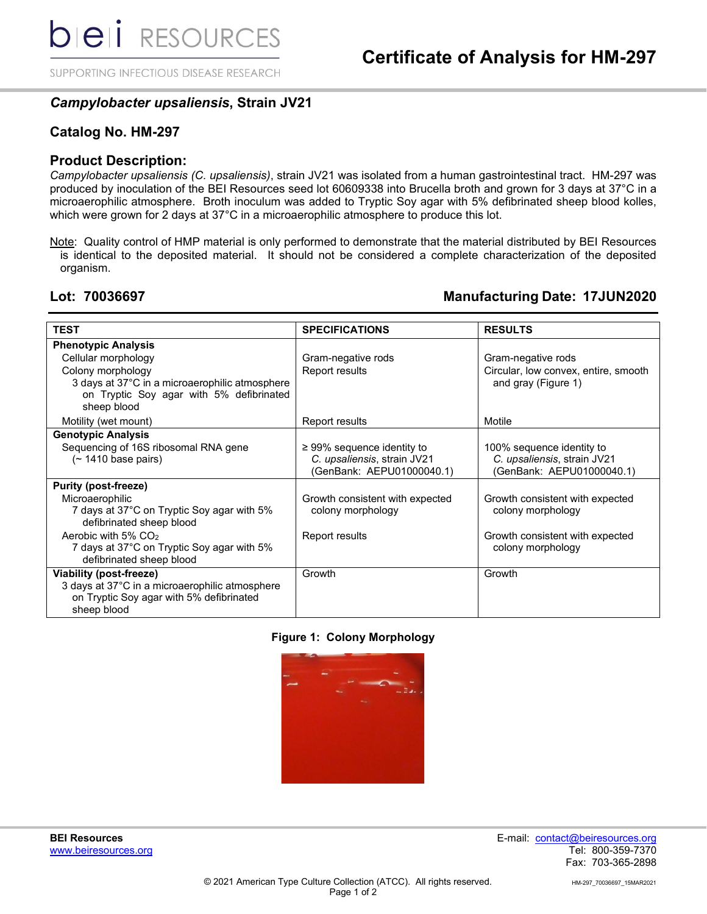SUPPORTING INFECTIOUS DISEASE RESEARCH

## *Campylobacter upsaliensis***, Strain JV21**

### **Catalog No. HM-297**

### **Product Description:**

*Campylobacter upsaliensis (C. upsaliensis)*, strain JV21 was isolated from a human gastrointestinal tract. HM-297 was produced by inoculation of the BEI Resources seed lot 60609338 into Brucella broth and grown for 3 days at 37°C in a microaerophilic atmosphere. Broth inoculum was added to Tryptic Soy agar with 5% defibrinated sheep blood kolles, which were grown for 2 days at 37°C in a microaerophilic atmosphere to produce this lot.

Note: Quality control of HMP material is only performed to demonstrate that the material distributed by BEI Resources is identical to the deposited material. It should not be considered a complete characterization of the deposited organism.

### **Lot: 70036697 Manufacturing Date: 17JUN2020**

| <b>TEST</b>                                                                                                                          | <b>SPECIFICATIONS</b>                                                                       | <b>RESULTS</b>                                                                        |
|--------------------------------------------------------------------------------------------------------------------------------------|---------------------------------------------------------------------------------------------|---------------------------------------------------------------------------------------|
| <b>Phenotypic Analysis</b>                                                                                                           |                                                                                             |                                                                                       |
| Cellular morphology<br>Colony morphology                                                                                             | Gram-negative rods<br>Report results                                                        | Gram-negative rods<br>Circular, low convex, entire, smooth                            |
| 3 days at 37°C in a microaerophilic atmosphere<br>on Tryptic Soy agar with 5% defibrinated<br>sheep blood                            |                                                                                             | and gray (Figure 1)                                                                   |
| Motility (wet mount)                                                                                                                 | Report results                                                                              | Motile                                                                                |
| <b>Genotypic Analysis</b>                                                                                                            |                                                                                             |                                                                                       |
| Sequencing of 16S ribosomal RNA gene<br>$($ ~ 1410 base pairs)                                                                       | $\geq$ 99% sequence identity to<br>C. upsaliensis, strain JV21<br>(GenBank: AEPU01000040.1) | 100% sequence identity to<br>C. upsaliensis, strain JV21<br>(GenBank: AEPU01000040.1) |
| <b>Purity (post-freeze)</b>                                                                                                          |                                                                                             |                                                                                       |
| Microaerophilic<br>7 days at 37°C on Tryptic Soy agar with 5%<br>defibrinated sheep blood                                            | Growth consistent with expected<br>colony morphology                                        | Growth consistent with expected<br>colony morphology                                  |
| Aerobic with $5\%$ CO <sub>2</sub><br>7 days at 37°C on Tryptic Soy agar with 5%<br>defibrinated sheep blood                         | Report results                                                                              | Growth consistent with expected<br>colony morphology                                  |
| Viability (post-freeze)<br>3 days at 37°C in a microaerophilic atmosphere<br>on Tryptic Soy agar with 5% defibrinated<br>sheep blood | Growth                                                                                      | Growth                                                                                |

### **Figure 1: Colony Morphology**



**BEI Resources** E-mail: contact@beiresources.org www.beiresources.orgTel: 800-359-7370 Fax: 703-365-2898